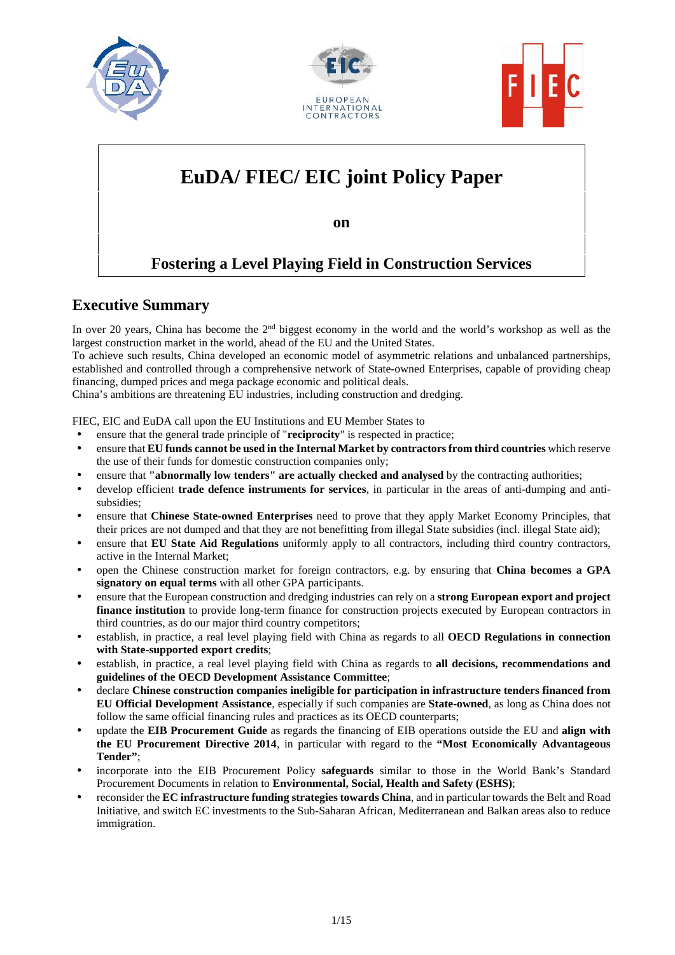





# **EuDA/ FIEC/ EIC joint Policy Paper**

**on**

# **Fostering a Level Playing Field in Construction Services**

# **Executive Summary**

In over 20 years, China has become the 2<sup>nd</sup> biggest economy in the world and the world's workshop as well as the largest construction market in the world, ahead of the EU and the United States.

To achieve such results, China developed an economic model of asymmetric relations and unbalanced partnerships, established and controlled through a comprehensive network of State-owned Enterprises, capable of providing cheap financing, dumped prices and mega package economic and political deals.

China's ambitions are threatening EU industries, including construction and dredging.

FIEC, EIC and EuDA call upon the EU Institutions and EU Member States to

- ensure that the general trade principle of "**reciprocity**" is respected in practice;
- ensure that **EU funds cannot be used in the Internal Market by contractors from third countries** which reserve the use of their funds for domestic construction companies only;
- ensure that **"abnormally low tenders" are actually checked and analysed** by the contracting authorities;
- develop efficient **trade defence instruments for services**, in particular in the areas of anti-dumping and anti subsidies;
- ensure that **Chinese State-owned Enterprises** need to prove that they apply Market Economy Principles, that their prices are not dumped and that they are not benefitting from illegal State subsidies (incl. illegal State aid);
- ensure that **EU State Aid Regulations** uniformly apply to all contractors, including third country contractors, active in the Internal Market;
- open the Chinese construction market for foreign contractors, e.g. by ensuring that **China becomes a GPA signatory on equal terms** with all other GPA participants.
- ensure that the European construction and dredging industries can rely on a **strong European export and project finance institution** to provide long-term finance for construction projects executed by European contractors in third countries, as do our major third country competitors;
- establish, in practice, a real level playing field with China as regards to all **OECD Regulations in connection with State-supported export credits**;
- establish, in practice, a real level playing field with China as regards to **all decisions, recommendations and guidelines of the OECD Development Assistance Committee**;
- declare **Chinese construction companies ineligible for participation in infrastructure tenders financed from EU Official Development Assistance**, especially if such companies are **State-owned**, as long as China does not follow the same official financing rules and practices as its OECD counterparts;
- update the **EIB Procurement Guide** as regards the financing of EIB operations outside the EU and **align with the EU Procurement Directive 2014**, in particular with regard to the **"Most Economically Advantageous Tender"**;
- incorporate into the EIB Procurement Policy **safeguards** similar to those in the World Bank's Standard Procurement Documents in relation to **Environmental, Social, Health and Safety (ESHS)**;
- reconsider the **EC infrastructure funding strategies towards China**, and in particular towards the Belt and Road Initiative, and switch EC investments to the Sub-Saharan African, Mediterranean and Balkan areas also to reduce immigration.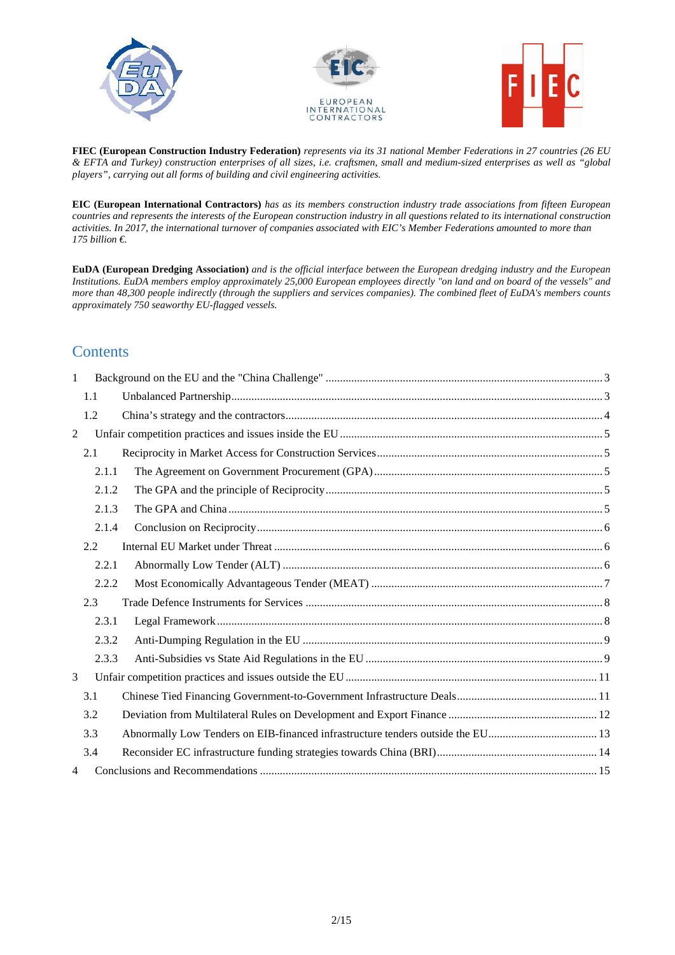





**FIEC (European Construction Industry Federation)** *represents via its 31 national Member Federations in 27 countries (26 EU & EFTA and Turkey) construction enterprises of all sizes, i.e. craftsmen, small and medium-sized enterprises as well as "global players", carrying out all forms of building and civil engineering activities.*

**EIC (European International Contractors)** *has as its members construction industry trade associations from fifteen European countries and represents the interests of the European construction industry in all questions related to its international construction activities. In 2017, the international turnover of companies associated with EIC's Member Federations amounted to more than 175 billion €.*

**EuDA (European Dredging Association)** *and is the official interface between the European dredging industry and the European Institutions. EuDA members employ approximately 25,000 European employees directly "on land and on board of the vessels" and more than 48,300 people indirectly (through the suppliers and services companies). The combined fleet of EuDA's members counts approximately 750 seaworthy EU-flagged vessels.*

# **Contents**

| 1              |       |                                                                                |  |  |  |  |  |  |
|----------------|-------|--------------------------------------------------------------------------------|--|--|--|--|--|--|
| 1.1            |       |                                                                                |  |  |  |  |  |  |
| 1.2            |       |                                                                                |  |  |  |  |  |  |
| $\overline{2}$ |       |                                                                                |  |  |  |  |  |  |
|                | 2.1   |                                                                                |  |  |  |  |  |  |
|                | 2.1.1 |                                                                                |  |  |  |  |  |  |
|                | 2.1.2 |                                                                                |  |  |  |  |  |  |
|                | 2.1.3 |                                                                                |  |  |  |  |  |  |
|                | 2.1.4 |                                                                                |  |  |  |  |  |  |
|                | 2.2   |                                                                                |  |  |  |  |  |  |
|                | 2.2.1 |                                                                                |  |  |  |  |  |  |
|                |       | 2.2.2                                                                          |  |  |  |  |  |  |
|                | 2.3   |                                                                                |  |  |  |  |  |  |
|                | 2.3.1 |                                                                                |  |  |  |  |  |  |
|                | 2.3.2 |                                                                                |  |  |  |  |  |  |
|                | 2.3.3 |                                                                                |  |  |  |  |  |  |
| 3              |       |                                                                                |  |  |  |  |  |  |
|                | 3.1   |                                                                                |  |  |  |  |  |  |
|                | 3.2   |                                                                                |  |  |  |  |  |  |
|                | 3.3   | Abnormally Low Tenders on EIB-financed infrastructure tenders outside the EU13 |  |  |  |  |  |  |
|                | 3.4   |                                                                                |  |  |  |  |  |  |
| 4              |       |                                                                                |  |  |  |  |  |  |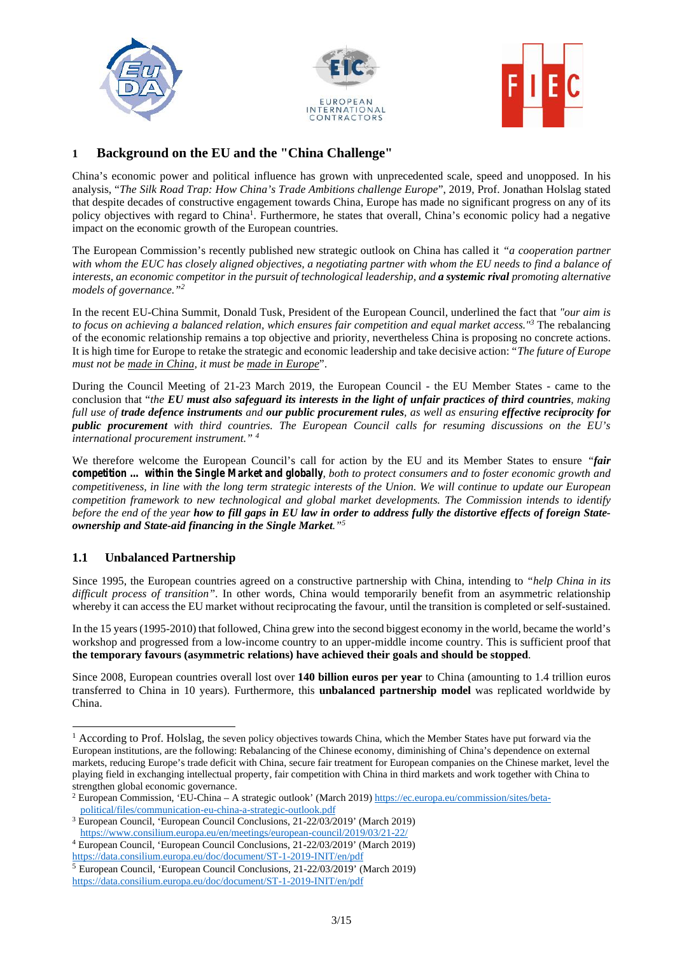





# **1 Background on the EU and the "China Challenge"**

China's economic power and political influence has grown with unprecedented scale, speed and unopposed. In his analysis, "*The Silk Road Trap: How China's Trade Ambitions challenge Europe*", 2019, Prof. Jonathan Holslag stated that despite decades of constructive engagement towards China, Europe has made no significant progress on any of its policy objectives with regard to China<sup>1</sup>. Furthermore, he states that overall, China's economic policy had a negative impact on the economic growth of the European countries.

The European Commission's recently published new strategic outlook on China has called it *"a cooperation partner with whom the EUC has closely aligned objectives, a negotiating partner with whom the EU needs to find a balance of interests, an economic competitor in the pursuit of technological leadership, and a systemic rival promoting alternative models of governance."<sup>2</sup>*

In the recent EU-China Summit, Donald Tusk, President of the European Council, underlined the fact that *"our aim is to focus on achieving a balanced relation, which ensures fair competition and equal market access."<sup>3</sup>* The rebalancing of the economic relationship remains a top objective and priority, nevertheless China is proposing no concrete actions. It is high time for Europe to retake the strategic and economic leadership and take decisive action: "*The future of Europe must not be made in China, it must be made in Europe*".

During the Council Meeting of 21-23 March 2019, the European Council - the EU Member States - came to the conclusion that "*the EU must also safeguard its interests in the light of unfair practices of third countries, making full use of trade defence instruments and our public procurement rules, as well as ensuring effective reciprocity for public procurement with third countries. The European Council calls for resuming discussions on the EU's international procurement instrument." <sup>4</sup>*

We therefore welcome the European Council's call for action by the EU and its Member States to ensure *"fair competition … within the Single Market and globally, both to protect consumers and to foster economic growth and competitiveness, in line with the long term strategic interests of the Union. We will continue to update our European competition framework to new technological and global market developments. The Commission intends to identify before the end of the year how to fill gaps in EU law in order to address fully the distortive effects of foreign State ownership and State-aid financing in the Single Market."<sup>5</sup>*

# **1.1 Unbalanced Partnership**

Since 1995, the European countries agreed on a constructive partnership with China, intending to *"help China in its difficult process of transition"*. In other words, China would temporarily benefit from an asymmetric relationship whereby it can access the EU market without reciprocating the favour, until the transition is completed or self-sustained.

In the 15 years (1995-2010) that followed, China grew into the second biggest economy in the world, became the world's workshop and progressed from a low-income country to an upper-middle income country. This is sufficient proof that **the temporary favours (asymmetric relations) have achieved their goals and should be stopped**.

Since 2008, European countries overall lost over **140 billion euros per year** to China (amounting to 1.4 trillion euros transferred to China in 10 years). Furthermore, this **unbalanced partnership model** was replicated worldwide by China.

<sup>&</sup>lt;sup>1</sup> According to Prof. Holslag, the seven policy objectives towards China, which the Member States have put forward via the European institutions, are the following: Rebalancing of the Chinese economy, diminishing of China's dependence on external markets, reducing Europe's trade deficit with China, secure fair treatment for European companies on the Chinese market, level the playing field in exchanging intellectual property, fair competition with China in third markets and work together with China to strengthen global economic governance.

<sup>2</sup> European Commission, 'EU-China – A strategic outlook' (March 2019) https://ec.europa.eu/commission/sites/beta political/files/communication-eu-china-a-strategic-outlook.pdf

<sup>3</sup> European Council, 'European Council Conclusions, 21-22/03/2019' (March 2019) https://www.consilium.europa.eu/en/meetings/european-council/2019/03/21-22/

<sup>4</sup> European Council, 'European Council Conclusions, 21-22/03/2019' (March 2019)

https://data.consilium.europa.eu/doc/document/ST-1-2019-INIT/en/pdf

<sup>5</sup> European Council, 'European Council Conclusions, 21-22/03/2019' (March 2019) https://data.consilium.europa.eu/doc/document/ST-1-2019-INIT/en/pdf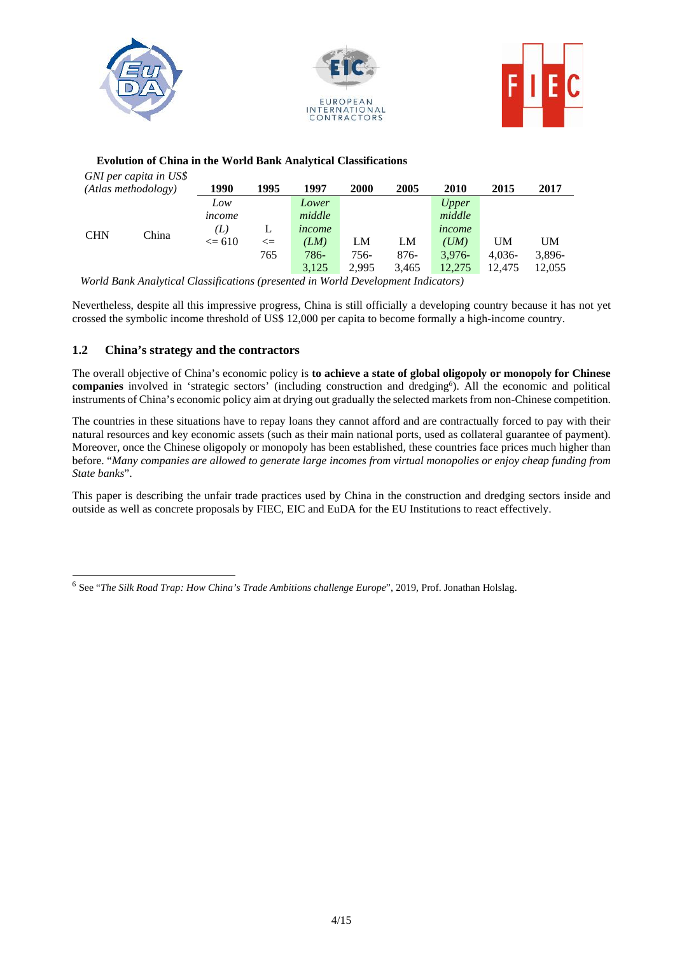

#### **Evolution of China in the World Bank Analytical Classifications**

| GNI per capita in US\$ |       |            |              |        |       |        |              |          |        |  |
|------------------------|-------|------------|--------------|--------|-------|--------|--------------|----------|--------|--|
| (Atlas methodology)    |       | 1990       | 1995         | 1997   | 2000  | 2005   | 2010         | 2015     | 2017   |  |
|                        |       | Low        |              | Lower  |       |        | <i>Upper</i> |          |        |  |
|                        | China | income     |              | middle |       |        | middle       |          |        |  |
| <b>CHN</b>             |       | (L)        | L            | income |       |        | income       |          |        |  |
|                        |       | $\leq$ 610 | $\Leftarrow$ | (LM)   | LM    | LM     | (UM)         | UM       | UM     |  |
|                        |       |            | 765          | 786-   | 756-  | $876-$ | $3.976-$     | $4,036-$ | 3,896- |  |
|                        |       |            |              | 3,125  | 2,995 | 3,465  | 12,275       | 12,475   | 12,055 |  |

*World Bank Analytical Classifications (presented in World Development Indicators)*

Nevertheless, despite all this impressive progress, China is still officially a developing country because it has not yet crossed the symbolic income threshold of US\$ 12,000 per capita to become formally a high-income country.

#### **1.2 China's strategy and the contractors**

The overall objective of China's economic policy is **to achieve a state of global oligopoly or monopoly for Chinese companies** involved in 'strategic sectors' (including construction and dredging*<sup>6</sup>*). All the economic and political instruments of China's economic policy aim at drying out gradually the selected markets from non-Chinese competition.

The countries in these situations have to repay loans they cannot afford and are contractually forced to pay with their natural resources and key economic assets (such as their main national ports, used as collateral guarantee of payment). Moreover, once the Chinese oligopoly or monopoly has been established, these countries face prices much higher than before. "*Many companies are allowed to generate large incomes from virtual monopolies or enjoy cheap funding from State banks*".

This paper is describing the unfair trade practices used by China in the construction and dredging sectors inside and outside as well as concrete proposals by FIEC, EIC and EuDA for the EU Institutions to react effectively.

<sup>6</sup> See "*The Silk Road Trap: How China's Trade Ambitions challenge Europe*", 2019, Prof. Jonathan Holslag.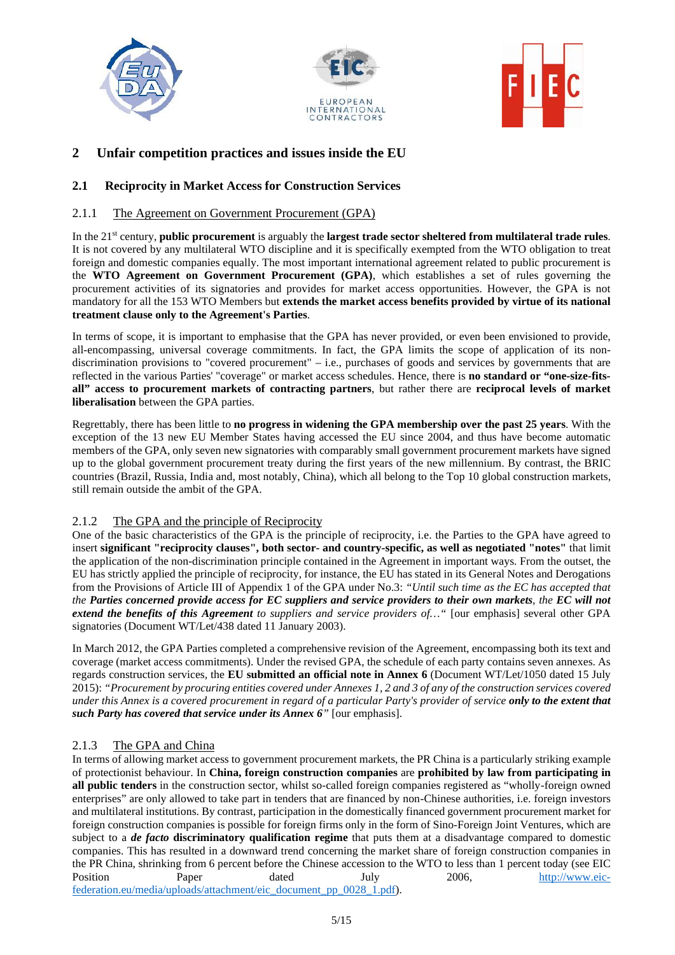





# **2 Unfair competition practices and issues inside the EU**

### **2.1 Reciprocity in Market Access for Construction Services**

#### 2.1.1 The Agreement on Government Procurement (GPA)

In the 21st century, **public procurement** is arguably the **largest trade sector sheltered from multilateral trade rules**. It is not covered by any multilateral WTO discipline and it is specifically exempted from the WTO obligation to treat foreign and domestic companies equally. The most important international agreement related to public procurement is the **WTO Agreement on Government Procurement (GPA)**, which establishes a set of rules governing the procurement activities of its signatories and provides for market access opportunities. However, the GPA is not mandatory for all the 153 WTO Members but **extends the market access benefits provided by virtue of its national treatment clause only to the Agreement's Parties**.

In terms of scope, it is important to emphasise that the GPA has never provided, or even been envisioned to provide, all-encompassing, universal coverage commitments. In fact, the GPA limits the scope of application of its non discrimination provisions to "covered procurement" – i.e., purchases of goods and services by governments that are reflected in the various Parties' "coverage" or market access schedules. Hence, there is **no standard or "one-size-fits all" access to procurement markets of contracting partners**, but rather there are **reciprocal levels of market liberalisation** between the GPA parties.

Regrettably, there has been little to **no progress in widening the GPA membership over the past 25 years**. With the exception of the 13 new EU Member States having accessed the EU since 2004, and thus have become automatic members of the GPA, only seven new signatories with comparably small government procurement markets have signed up to the global government procurement treaty during the first years of the new millennium. By contrast, the BRIC countries (Brazil, Russia, India and, most notably, China), which all belong to the Top 10 global construction markets, still remain outside the ambit of the GPA.

#### 2.1.2 The GPA and the principle of Reciprocity

One of the basic characteristics of the GPA is the principle of reciprocity, i.e. the Parties to the GPA have agreed to insert **significant "reciprocity clauses", both sector- and country-specific, as well as negotiated "notes"** that limit the application of the non-discrimination principle contained in the Agreement in important ways. From the outset, the EU has strictly applied the principle of reciprocity, for instance, the EU has stated in its General Notes and Derogations from the Provisions of Article III of Appendix 1 of the GPA under No.3: *"Until such time as the EC has accepted that the Parties concerned provide access for EC suppliers and service providers to their own markets, the EC will not extend the benefits of this Agreement to suppliers and service providers of…"* [our emphasis] several other GPA signatories (Document WT/Let/438 dated 11 January 2003).

In March 2012, the GPA Parties completed a comprehensive revision of the Agreement, encompassing both its text and coverage (market access commitments). Under the revised GPA, the schedule of each party contains seven annexes. As regards construction services, the **EU submitted an official note in Annex 6** (Document WT/Let/1050 dated 15 July 2015): *"Procurement by procuring entities covered under Annexes 1, 2 and 3 of any of the construction services covered under this Annex is a covered procurement in regard of a particular Party's provider of service only to the extent that such Party has covered that service under its Annex 6"* [our emphasis].

# 2.1.3 The GPA and China

In terms of allowing market access to government procurement markets, the PR China is a particularly striking example of protectionist behaviour. In **China, foreign construction companies** are **prohibited by law from participating in all public tenders** in the construction sector, whilst so-called foreign companies registered as "wholly-foreign owned enterprises" are only allowed to take part in tenders that are financed by non-Chinese authorities, i.e. foreign investors and multilateral institutions. By contrast, participation in the domestically financed government procurement market for foreign construction companies is possible for foreign firms only in the form of Sino-Foreign Joint Ventures, which are subject to a *de facto* **discriminatory qualification regime** that puts them at a disadvantage compared to domestic companies. This has resulted in a downward trend concerning the market share of foreign construction companies in the PR China, shrinking from 6 percent before the Chinese accession to the WTO to less than 1 percent today (see EIC<br>Position Paper dated July 2006, http://www.eic-Position Paper dated July 2006, http://www.eicfederation.eu/media/uploads/attachment/eic\_document\_pp\_0028\_1.pdf).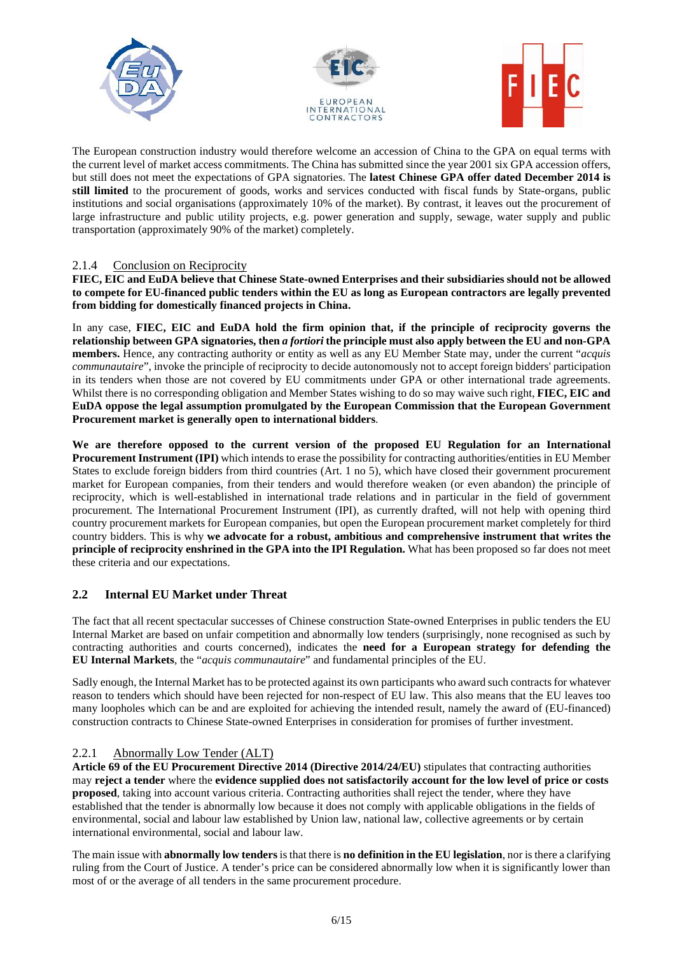





The European construction industry would therefore welcome an accession of China to the GPA on equal terms with the current level of market access commitments. The China has submitted since the year 2001 six GPA accession offers, but still does not meet the expectations of GPA signatories. The **latest Chinese GPA offer dated December 2014 is still limited** to the procurement of goods, works and services conducted with fiscal funds by State-organs, public institutions and social organisations (approximately 10% of the market). By contrast, it leaves out the procurement of large infrastructure and public utility projects, e.g. power generation and supply, sewage, water supply and public transportation (approximately 90% of the market) completely.

#### 2.1.4 Conclusion on Reciprocity

**FIEC, EIC and EuDA believe that Chinese State-owned Enterprises and their subsidiaries should not be allowed to compete for EU-financed public tenders within the EU as long as European contractors are legally prevented from bidding for domestically financed projects in China.**

In any case, **FIEC, EIC and EuDA hold the firm opinion that, if the principle of reciprocity governs the relationship between GPA signatories, then** *a fortiori* **the principle must also apply between the EU and non-GPA members.** Hence, any contracting authority or entity as well as any EU Member State may, under the current "*acquis communautaire*", invoke the principle of reciprocity to decide autonomously not to accept foreign bidders' participation in its tenders when those are not covered by EU commitments under GPA or other international trade agreements. Whilst there is no corresponding obligation and Member States wishing to do so may waive such right, **FIEC, EIC and EuDA oppose the legal assumption promulgated by the European Commission that the European Government Procurement market is generally open to international bidders**.

**We are therefore opposed to the current version of the proposed EU Regulation for an International Procurement Instrument (IPI)** which intends to erase the possibility for contracting authorities/entities in EU Member States to exclude foreign bidders from third countries (Art. 1 no 5), which have closed their government procurement market for European companies, from their tenders and would therefore weaken (or even abandon) the principle of reciprocity, which is well-established in international trade relations and in particular in the field of government procurement. The International Procurement Instrument (IPI), as currently drafted, will not help with opening third country procurement markets for European companies, but open the European procurement market completely for third country bidders. This is why **we advocate for a robust, ambitious and comprehensive instrument that writes the principle of reciprocity enshrined in the GPA into the IPI Regulation.** What has been proposed so far does not meet these criteria and our expectations.

# **2.2 Internal EU Market under Threat**

The fact that all recent spectacular successes of Chinese construction State-owned Enterprises in public tenders the EU Internal Market are based on unfair competition and abnormally low tenders (surprisingly, none recognised as such by contracting authorities and courts concerned), indicates the **need for a European strategy for defending the EU Internal Markets**, the "*acquis communautaire*" and fundamental principles of the EU.

Sadly enough, the Internal Market has to be protected against its own participants who award such contracts for whatever reason to tenders which should have been rejected for non-respect of EU law. This also means that the EU leaves too many loopholes which can be and are exploited for achieving the intended result, namely the award of (EU-financed) construction contracts to Chinese State-owned Enterprises in consideration for promises of further investment.

#### 2.2.1 Abnormally Low Tender (ALT)

**Article 69 of the EU Procurement Directive 2014 (Directive 2014/24/EU)** stipulates that contracting authorities may **reject a tender** where the **evidence supplied does not satisfactorily account for the low level of price or costs proposed**, taking into account various criteria. Contracting authorities shall reject the tender, where they have established that the tender is abnormally low because it does not comply with applicable obligations in the fields of environmental, social and labour law established by Union law, national law, collective agreements or by certain international environmental, social and labour law.

The main issue with **abnormally low tenders**is that there is **no definition in the EU legislation**, nor is there a clarifying ruling from the Court of Justice. A tender's price can be considered abnormally low when it is significantly lower than most of or the average of all tenders in the same procurement procedure.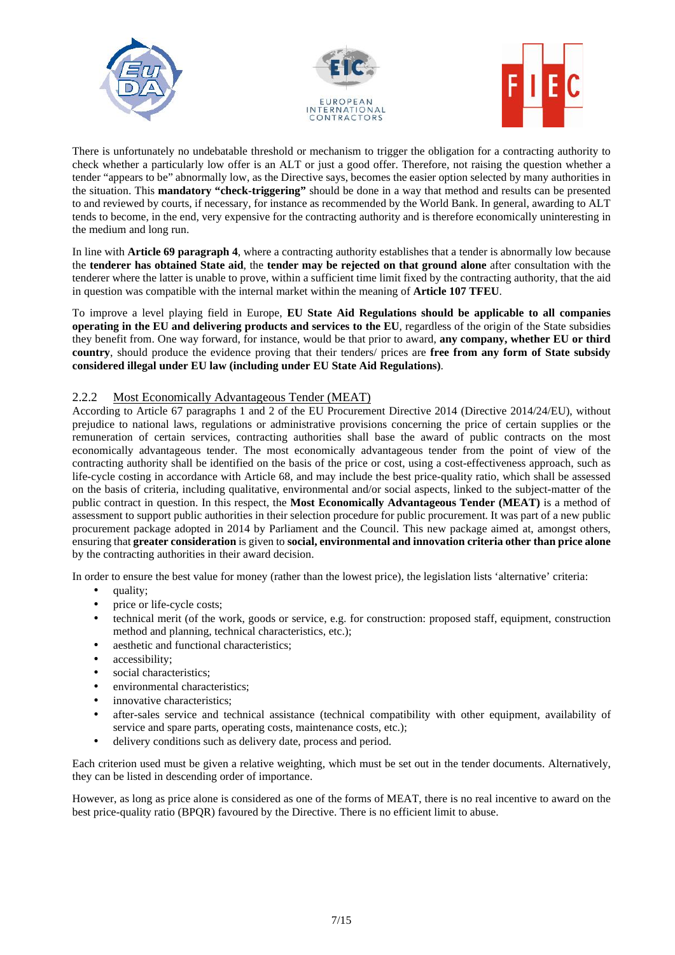





There is unfortunately no undebatable threshold or mechanism to trigger the obligation for a contracting authority to check whether a particularly low offer is an ALT or just a good offer. Therefore, not raising the question whether a tender "appears to be" abnormally low, as the Directive says, becomes the easier option selected by many authorities in the situation. This **mandatory "check-triggering"** should be done in a way that method and results can be presented to and reviewed by courts, if necessary, for instance as recommended by the World Bank. In general, awarding to ALT tends to become, in the end, very expensive for the contracting authority and is therefore economically uninteresting in the medium and long run.

In line with **Article 69 paragraph 4**, where a contracting authority establishes that a tender is abnormally low because the **tenderer has obtained State aid**, the **tender may be rejected on that ground alone** after consultation with the tenderer where the latter is unable to prove, within a sufficient time limit fixed by the contracting authority, that the aid in question was compatible with the internal market within the meaning of **Article 107 TFEU**.

To improve a level playing field in Europe, **EU State Aid Regulations should be applicable to all companies operating in the EU and delivering products and services to the EU**, regardless of the origin of the State subsidies they benefit from. One way forward, for instance, would be that prior to award, **any company, whether EU or third country**, should produce the evidence proving that their tenders/ prices are **free from any form of State subsidy considered illegal under EU law (including under EU State Aid Regulations)**.

#### 2.2.2 Most Economically Advantageous Tender (MEAT)

According to Article 67 paragraphs 1 and 2 of the EU Procurement Directive 2014 (Directive 2014/24/EU), without prejudice to national laws, regulations or administrative provisions concerning the price of certain supplies or the remuneration of certain services, contracting authorities shall base the award of public contracts on the most economically advantageous tender. The most economically advantageous tender from the point of view of the contracting authority shall be identified on the basis of the price or cost, using a cost-effectiveness approach, such as life-cycle costing in accordance with Article 68, and may include the best price-quality ratio, which shall be assessed on the basis of criteria, including qualitative, environmental and/or social aspects, linked to the subject-matter of the public contract in question. In this respect, the **Most Economically Advantageous Tender (MEAT)** is a method of assessment to support public authorities in their selection procedure for public procurement. It was part of a new public procurement package adopted in 2014 by Parliament and the Council. This new package aimed at, amongst others, ensuring that **greater consideration** is given to **social, environmental and innovation criteria other than price alone** by the contracting authorities in their award decision.

In order to ensure the best value for money (rather than the lowest price), the legislation lists 'alternative' criteria:

- quality;
- price or life-cycle costs;
- technical merit (of the work, goods or service, e.g. for construction: proposed staff, equipment, construction method and planning, technical characteristics, etc.);
- aesthetic and functional characteristics;
- accessibility;
- social characteristics;
- environmental characteristics;
- innovative characteristics;
- after-sales service and technical assistance (technical compatibility with other equipment, availability of service and spare parts, operating costs, maintenance costs, etc.);
- delivery conditions such as delivery date, process and period.

Each criterion used must be given a relative weighting, which must be set out in the tender documents. Alternatively, they can be listed in descending order of importance.

However, as long as price alone is considered as one of the forms of MEAT, there is no real incentive to award on the best price-quality ratio (BPQR) favoured by the Directive. There is no efficient limit to abuse.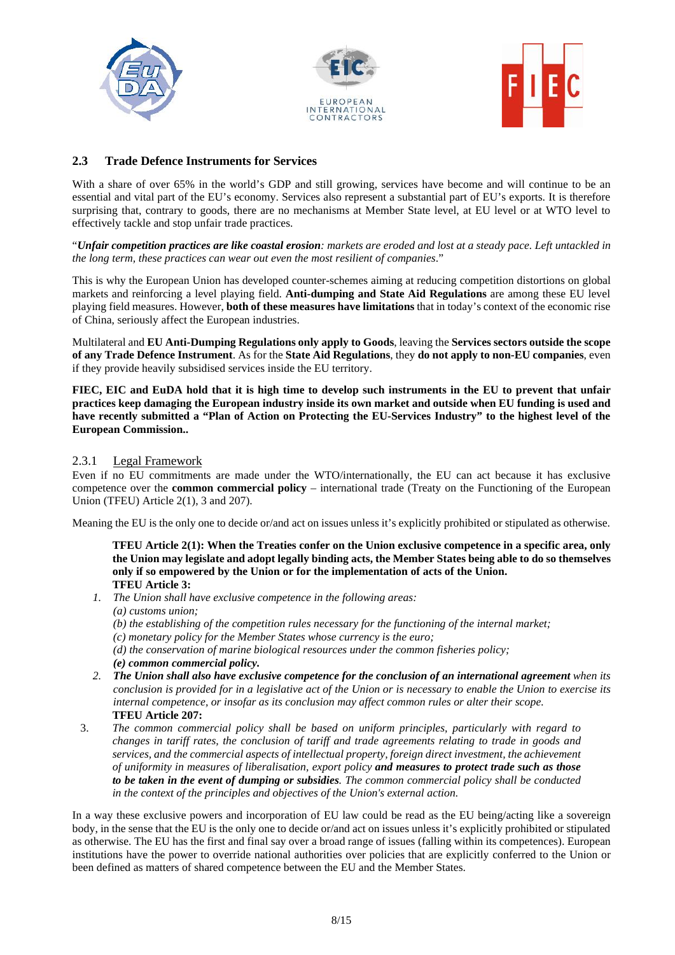





# **2.3 Trade Defence Instruments for Services**

With a share of over 65% in the world's GDP and still growing, services have become and will continue to be an essential and vital part of the EU's economy. Services also represent a substantial part of EU's exports. It is therefore surprising that, contrary to goods, there are no mechanisms at Member State level, at EU level or at WTO level to effectively tackle and stop unfair trade practices.

"*Unfair competition practices are like coastal erosion: markets are eroded and lost at a steady pace. Left untackled in the long term, these practices can wear out even the most resilient of companies*."

This is why the European Union has developed counter-schemes aiming at reducing competition distortions on global markets and reinforcing a level playing field. **Anti-dumping and State Aid Regulations** are among these EU level playing field measures. However, **both of these measures have limitations** that in today's context of the economic rise of China, seriously affect the European industries.

Multilateral and **EU Anti-Dumping Regulations only apply to Goods**, leaving the **Services sectors outside the scope of any Trade Defence Instrument**. As for the **State Aid Regulations**, they **do not apply to non-EU companies**, even if they provide heavily subsidised services inside the EU territory.

**FIEC, EIC and EuDA hold that it is high time to develop such instruments in the EU to prevent that unfair practices keep damaging the European industry inside its own market and outside when EU funding is used and have recently submitted a "Plan of Action on Protecting the EU-Services Industry" to the highest level of the European Commission..**

#### 2.3.1 Legal Framework

Even if no EU commitments are made under the WTO/internationally, the EU can act because it has exclusive competence over the **common commercial policy** – international trade (Treaty on the Functioning of the European Union (TFEU) Article 2(1), 3 and 207).

Meaning the EU is the only one to decide or/and act on issues unless it's explicitly prohibited or stipulated as otherwise.

**TFEU Article 2(1): When the Treaties confer on the Union exclusive competence in a specific area, only the Union may legislate and adopt legally binding acts, the Member States being able to do so themselves only if so empowered by the Union or for the implementation of acts of the Union. TFEU Article 3:**

- *1. The Union shall have exclusive competence in the following areas:*
	- *(a) customs union;*
	- *(b) the establishing of the competition rules necessary for the functioning of the internal market;*
	- *(c) monetary policy for the Member States whose currency is the euro;*
	- *(d) the conservation of marine biological resources under the common fisheries policy;*
	- *(e) common commercial policy.*
- *2. The Union shall also have exclusive competence for the conclusion of an international agreement when its conclusion is provided for in a legislative act of the Union or is necessary to enable the Union to exercise its internal competence, or insofar as its conclusion may affect common rules or alter their scope.* **TFEU Article 207:**
- 3. *The common commercial policy shall be based on uniform principles, particularly with regard to changes in tariff rates, the conclusion of tariff and trade agreements relating to trade in goods and services, and the commercial aspects of intellectual property, foreign direct investment, the achievement of uniformity in measures of liberalisation, export policy and measures to protect trade such as those to be taken in the event of dumping or subsidies. The common commercial policy shall be conducted in the context of the principles and objectives of the Union's external action.*

In a way these exclusive powers and incorporation of EU law could be read as the EU being/acting like a sovereign body, in the sense that the EU is the only one to decide or/and act on issues unless it's explicitly prohibited or stipulated as otherwise. The EU has the first and final say over a broad range of issues (falling within its competences). European institutions have the power to override national authorities over policies that are explicitly conferred to the Union or been defined as matters of shared competence between the EU and the Member States.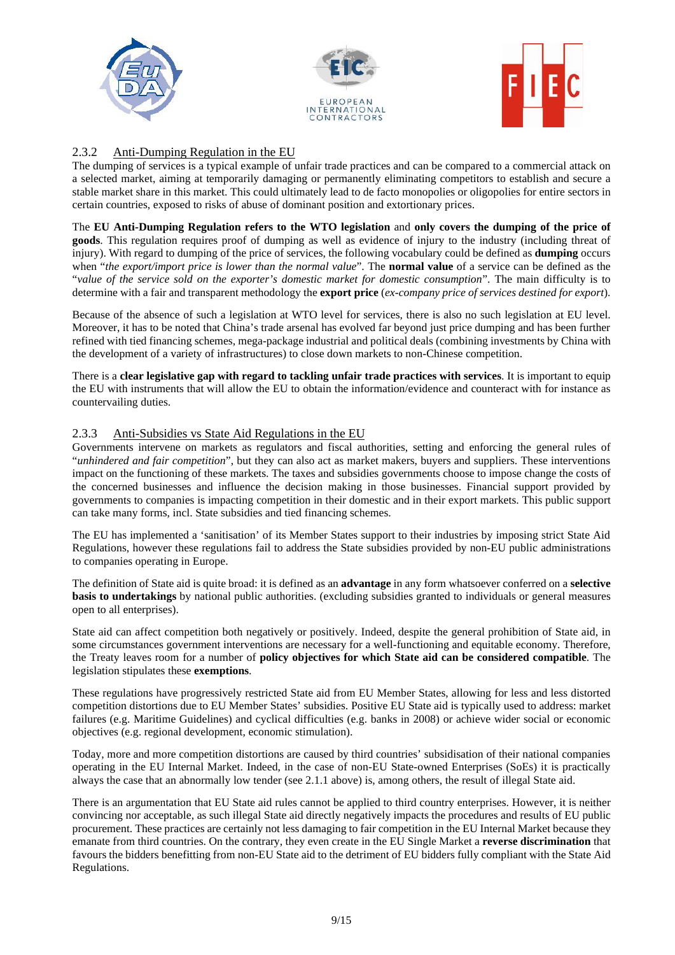





# 2.3.2 Anti-Dumping Regulation in the EU

The dumping of services is a typical example of unfair trade practices and can be compared to a commercial attack on a selected market, aiming at temporarily damaging or permanently eliminating competitors to establish and secure a stable market share in this market. This could ultimately lead to de facto monopolies or oligopolies for entire sectors in certain countries, exposed to risks of abuse of dominant position and extortionary prices.

The **EU Anti-Dumping Regulation refers to the WTO legislation** and **only covers the dumping of the price of goods**. This regulation requires proof of dumping as well as evidence of injury to the industry (including threat of injury). With regard to dumping of the price of services, the following vocabulary could be defined as **dumping** occurs when "*the export/import price is lower than the normal value*". The **normal value** of a service can be defined as the "*value of the service sold on the exporter's domestic market for domestic consumption*". The main difficulty is to determine with a fair and transparent methodology the **export price** (*ex-company price of services destined for export*).

Because of the absence of such a legislation at WTO level for services, there is also no such legislation at EU level. Moreover, it has to be noted that China's trade arsenal has evolved far beyond just price dumping and has been further refined with tied financing schemes, mega-package industrial and political deals (combining investments by China with the development of a variety of infrastructures) to close down markets to non-Chinese competition.

There is a **clear legislative gap with regard to tackling unfair trade practices with services**. It is important to equip the EU with instruments that will allow the EU to obtain the information/evidence and counteract with for instance as countervailing duties.

#### 2.3.3 Anti-Subsidies vs State Aid Regulations in the EU

Governments intervene on markets as regulators and fiscal authorities, setting and enforcing the general rules of "*unhindered and fair competition*", but they can also act as market makers, buyers and suppliers. These interventions impact on the functioning of these markets. The taxes and subsidies governments choose to impose change the costs of the concerned businesses and influence the decision making in those businesses. Financial support provided by governments to companies is impacting competition in their domestic and in their export markets. This public support can take many forms, incl. State subsidies and tied financing schemes.

The EU has implemented a 'sanitisation' of its Member States support to their industries by imposing strict State Aid Regulations, however these regulations fail to address the State subsidies provided by non-EU public administrations to companies operating in Europe.

The definition of State aid is quite broad: it is defined as an **advantage** in any form whatsoever conferred on a **selective basis to undertakings** by national public authorities. (excluding subsidies granted to individuals or general measures open to all enterprises).

State aid can affect competition both negatively or positively. Indeed, despite the general prohibition of State aid, in some circumstances government interventions are necessary for a well-functioning and equitable economy. Therefore, the Treaty leaves room for a number of **policy objectives for which State aid can be considered compatible**. The legislation stipulates these **exemptions**.

These regulations have progressively restricted State aid from EU Member States, allowing for less and less distorted competition distortions due to EU Member States' subsidies. Positive EU State aid is typically used to address: market failures (e.g. Maritime Guidelines) and cyclical difficulties (e.g. banks in 2008) or achieve wider social or economic objectives (e.g. regional development, economic stimulation).

Today, more and more competition distortions are caused by third countries' subsidisation of their national companies operating in the EU Internal Market. Indeed, in the case of non-EU State-owned Enterprises (SoEs) it is practically always the case that an abnormally low tender (see 2.1.1 above) is, among others, the result of illegal State aid.

There is an argumentation that EU State aid rules cannot be applied to third country enterprises. However, it is neither convincing nor acceptable, as such illegal State aid directly negatively impacts the procedures and results of EU public procurement. These practices are certainly not less damaging to fair competition in the EU Internal Market because they emanate from third countries. On the contrary, they even create in the EU Single Market a **reverse discrimination** that favours the bidders benefitting from non-EU State aid to the detriment of EU bidders fully compliant with the State Aid Regulations.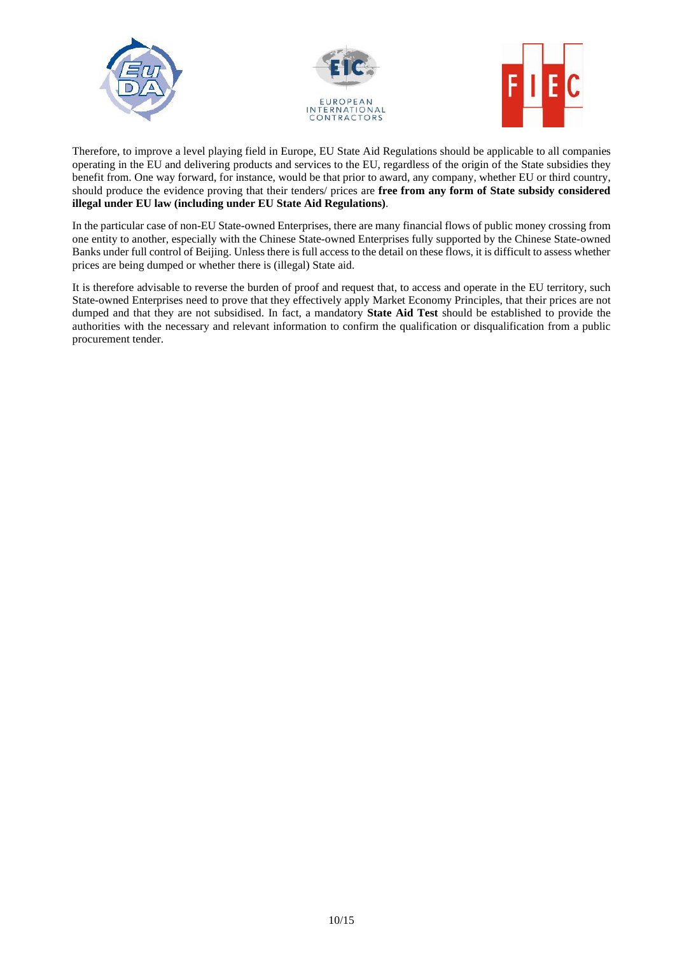





Therefore, to improve a level playing field in Europe, EU State Aid Regulations should be applicable to all companies operating in the EU and delivering products and services to the EU, regardless of the origin of the State subsidies they benefit from. One way forward, for instance, would be that prior to award, any company, whether EU or third country, should produce the evidence proving that their tenders/ prices are **free from any form of State subsidy considered illegal under EU law (including under EU State Aid Regulations)**.

In the particular case of non-EU State-owned Enterprises, there are many financial flows of public money crossing from one entity to another, especially with the Chinese State-owned Enterprises fully supported by the Chinese State-owned Banks under full control of Beijing. Unless there is full access to the detail on these flows, it is difficult to assess whether prices are being dumped or whether there is (illegal) State aid.

It is therefore advisable to reverse the burden of proof and request that, to access and operate in the EU territory, such State-owned Enterprises need to prove that they effectively apply Market Economy Principles, that their prices are not dumped and that they are not subsidised. In fact, a mandatory **State Aid Test** should be established to provide the authorities with the necessary and relevant information to confirm the qualification or disqualification from a public procurement tender.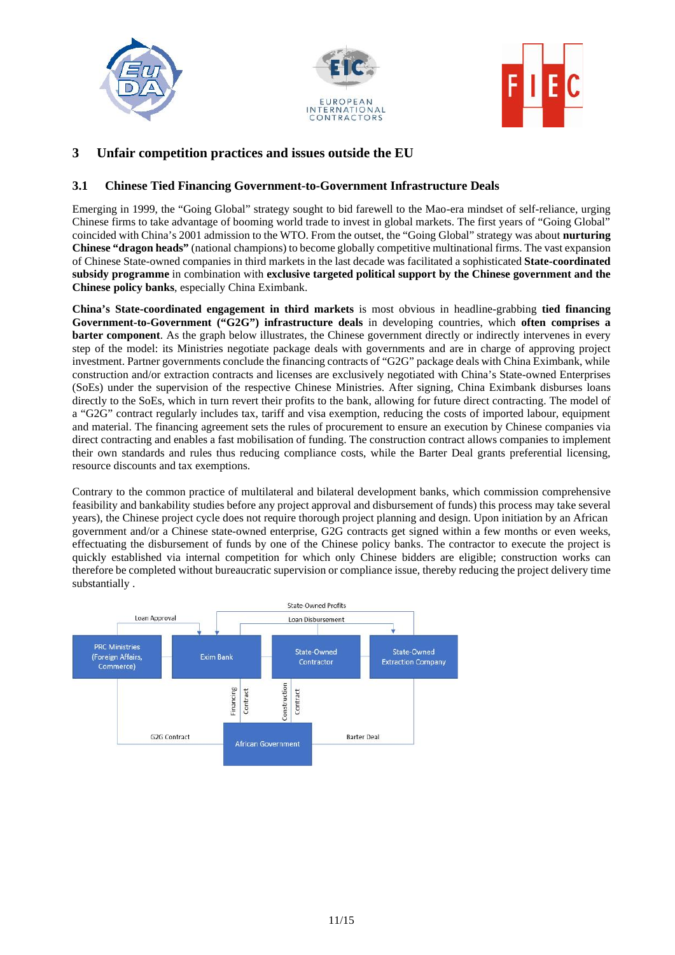





# **3 Unfair competition practices and issues outside the EU**

# **3.1 Chinese Tied Financing Government-to-Government Infrastructure Deals**

Emerging in 1999, the "Going Global" strategy sought to bid farewell to the Mao-era mindset of self-reliance, urging Chinese firms to take advantage of booming world trade to invest in global markets. The first years of "Going Global" coincided with China's 2001 admission to the WTO. From the outset, the "Going Global" strategy was about **nurturing Chinese "dragon heads"** (national champions) to become globally competitive multinational firms. The vast expansion of Chinese State-owned companies in third markets in the last decade was facilitated a sophisticated **State-coordinated subsidy programme** in combination with **exclusive targeted political support by the Chinese government and the Chinese policy banks**, especially China Eximbank.

**China's State-coordinated engagement in third markets** is most obvious in headline-grabbing **tied financing Government-to-Government ("G2G") infrastructure deals** in developing countries, which **often comprises a barter component**. As the graph below illustrates, the Chinese government directly or indirectly intervenes in every step of the model: its Ministries negotiate package deals with governments and are in charge of approving project investment. Partner governments conclude the financing contracts of "G2G" package deals with China Eximbank, while construction and/or extraction contracts and licenses are exclusively negotiated with China's State-owned Enterprises (SoEs) under the supervision of the respective Chinese Ministries. After signing, China Eximbank disburses loans directly to the SoEs, which in turn revert their profits to the bank, allowing for future direct contracting. The model of a "G2G" contract regularly includes tax, tariff and visa exemption, reducing the costs of imported labour, equipment and material. The financing agreement sets the rules of procurement to ensure an execution by Chinese companies via direct contracting and enables a fast mobilisation of funding. The construction contract allows companies to implement their own standards and rules thus reducing compliance costs, while the Barter Deal grants preferential licensing, resource discounts and tax exemptions.

Contrary to the common practice of multilateral and bilateral development banks, which commission comprehensive feasibility and bankability studies before any project approval and disbursement of funds) this process may take several years), the Chinese project cycle does not require thorough project planning and design. Upon initiation by an African government and/or a Chinese state-owned enterprise, G2G contracts get signed within a few months or even weeks, effectuating the disbursement of funds by one of the Chinese policy banks. The contractor to execute the project is quickly established via internal competition for which only Chinese bidders are eligible; construction works can therefore be completed without bureaucratic supervision or compliance issue, thereby reducing the project delivery time substantially .

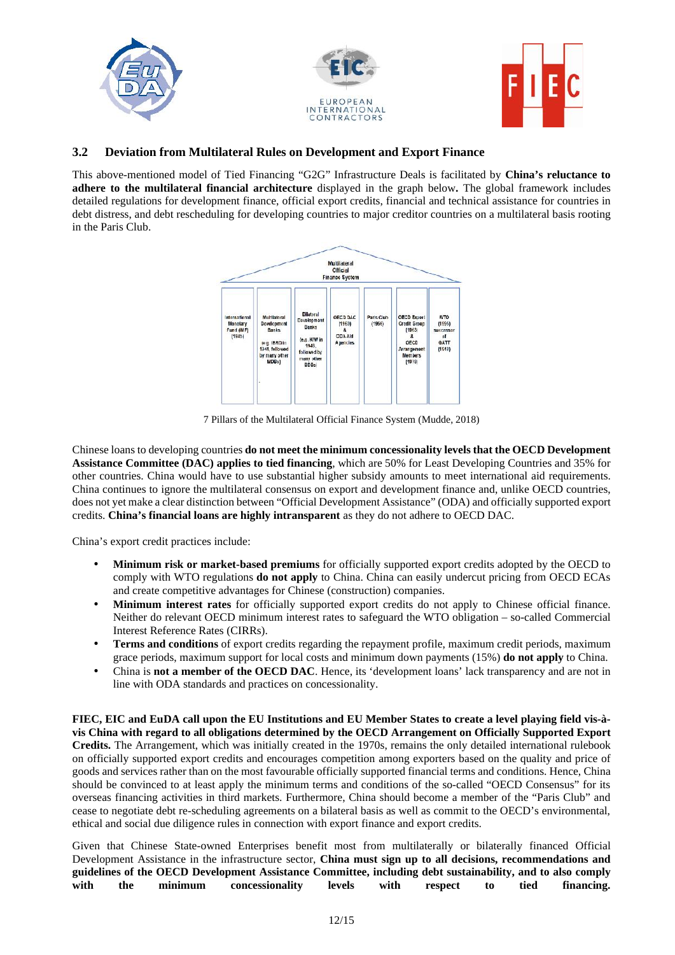

#### **3.2 Deviation from Multilateral Rules on Development and Export Finance**

This above-mentioned model of Tied Financing "G2G" Infrastructure Deals is facilitated by **China's reluctance to adhere to the multilateral financial architecture** displayed in the graph below**.** The global framework includes detailed regulations for development finance, official export credits, financial and technical assistance for countries in debt distress, and debt rescheduling for developing countries to major creditor countries on a multilateral basis rooting in the Paris Club.



7 Pillars of the Multilateral Official Finance System (Mudde, 2018)

Chinese loans to developing countries **do not meet the minimum concessionality levels that the OECD Development Assistance Committee (DAC) applies to tied financing**, which are 50% for Least Developing Countries and 35% for other countries. China would have to use substantial higher subsidy amounts to meet international aid requirements. China continues to ignore the multilateral consensus on export and development finance and, unlike OECD countries, does not yet make a clear distinction between "Official Development Assistance" (ODA) and officially supported export credits. **China's financial loans are highly intransparent** as they do not adhere to OECD DAC.

China's export credit practices include:

- **Minimum risk or market-based premiums** for officially supported export credits adopted by the OECD to comply with WTO regulations **do not apply** to China. China can easily undercut pricing from OECD ECAs and create competitive advantages for Chinese (construction) companies.
- **Minimum interest rates** for officially supported export credits do not apply to Chinese official finance. Neither do relevant OECD minimum interest rates to safeguard the WTO obligation – so-called Commercial Interest Reference Rates (CIRRs).
- **Terms and conditions** of export credits regarding the repayment profile, maximum credit periods, maximum grace periods, maximum support for local costs and minimum down payments (15%) **do not apply** to China.
- China is **not a member of the OECD DAC**. Hence, its 'development loans' lack transparency and are not in line with ODA standards and practices on concessionality.

**FIEC, EIC and EuDA call upon the EU Institutions and EU Member States to create a level playing field vis-à vis China with regard to all obligations determined by the OECD Arrangement on Officially Supported Export Credits.** The Arrangement, which was initially created in the 1970s, remains the only detailed international rulebook on officially supported export credits and encourages competition among exporters based on the quality and price of goods and services rather than on the most favourable officially supported financial terms and conditions. Hence, China should be convinced to at least apply the minimum terms and conditions of the so-called "OECD Consensus" for its overseas financing activities in third markets. Furthermore, China should become a member of the "Paris Club" and cease to negotiate debt re-scheduling agreements on a bilateral basis as well as commit to the OECD's environmental, ethical and social due diligence rules in connection with export finance and export credits.

Given that Chinese State-owned Enterprises benefit most from multilaterally or bilaterally financed Official Development Assistance in the infrastructure sector, **China must sign up to all decisions, recommendations and guidelines of the OECD Development Assistance Committee, including debt sustainability, and to also comply with the minimum concessionality levels with respect to tied financing.**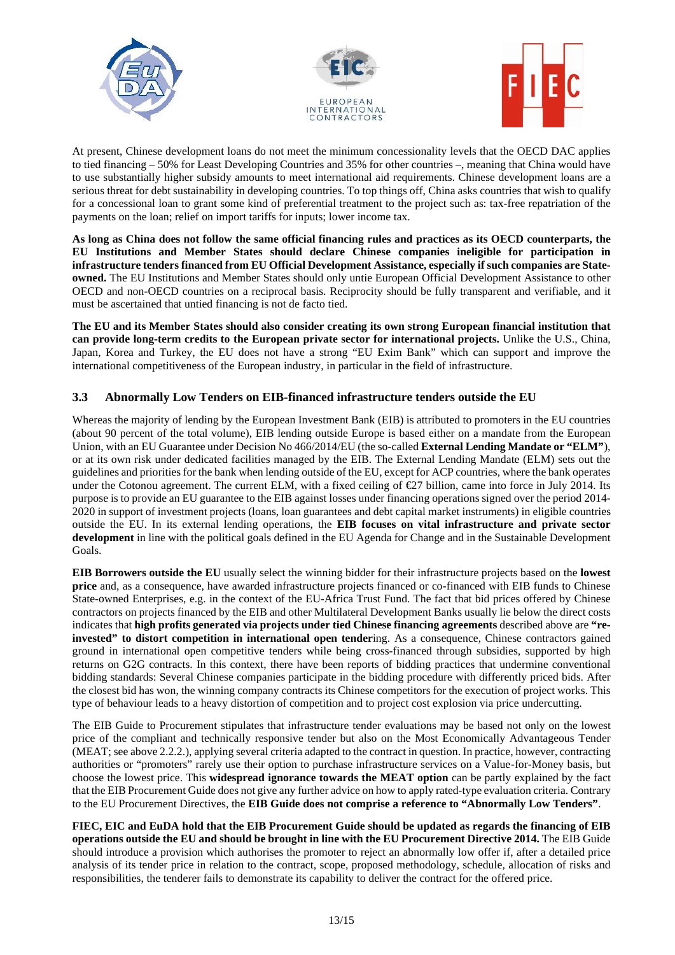





At present, Chinese development loans do not meet the minimum concessionality levels that the OECD DAC applies to tied financing – 50% for Least Developing Countries and 35% for other countries –, meaning that China would have to use substantially higher subsidy amounts to meet international aid requirements. Chinese development loans are a serious threat for debt sustainability in developing countries. To top things off, China asks countries that wish to qualify for a concessional loan to grant some kind of preferential treatment to the project such as: tax-free repatriation of the payments on the loan; relief on import tariffs for inputs; lower income tax.

**As long as China does not follow the same official financing rules and practices as its OECD counterparts, the EU Institutions and Member States should declare Chinese companies ineligible for participation in infrastructure tenders financed from EU Official Development Assistance, especially if such companies are State owned.** The EU Institutions and Member States should only untie European Official Development Assistance to other OECD and non-OECD countries on a reciprocal basis. Reciprocity should be fully transparent and verifiable, and it must be ascertained that untied financing is not de facto tied.

**The EU and its Member States should also consider creating its own strong European financial institution that can provide long-term credits to the European private sector for international projects.** Unlike the U.S., China, Japan, Korea and Turkey, the EU does not have a strong "EU Exim Bank" which can support and improve the international competitiveness of the European industry, in particular in the field of infrastructure.

#### **3.3 Abnormally Low Tenders on EIB-financed infrastructure tenders outside the EU**

Whereas the majority of lending by the European Investment Bank (EIB) is attributed to promoters in the EU countries (about 90 percent of the total volume), EIB lending outside Europe is based either on a mandate from the European Union, with an EU Guarantee under Decision No 466/2014/EU (the so-called **External Lending Mandate or "ELM"**), or at its own risk under dedicated facilities managed by the EIB. The External Lending Mandate (ELM) sets out the guidelines and priorities for the bank when lending outside of the EU, except for ACP countries, where the bank operates under the Cotonou agreement. The current ELM, with a fixed ceiling of  $\epsilon$ 27 billion, came into force in July 2014. Its purpose is to provide an EU guarantee to the EIB against losses under financing operations signed over the period 2014- 2020 in support of investment projects (loans, loan guarantees and debt capital market instruments) in eligible countries outside the EU. In its external lending operations, the **EIB focuses on vital infrastructure and private sector development** in line with the political goals defined in the EU Agenda for Change and in the Sustainable Development Goals.

**EIB Borrowers outside the EU** usually select the winning bidder for their infrastructure projects based on the **lowest price** and, as a consequence, have awarded infrastructure projects financed or co-financed with EIB funds to Chinese State-owned Enterprises, e.g. in the context of the EU-Africa Trust Fund. The fact that bid prices offered by Chinese contractors on projects financed by the EIB and other Multilateral Development Banks usually lie below the direct costs indicates that **high profits generated via projects under tied Chinese financing agreements** described above are **"reinvested" to distort competition in international open tender**ing. As a consequence, Chinese contractors gained ground in international open competitive tenders while being cross-financed through subsidies, supported by high returns on G2G contracts. In this context, there have been reports of bidding practices that undermine conventional bidding standards: Several Chinese companies participate in the bidding procedure with differently priced bids. After the closest bid has won, the winning company contracts its Chinese competitors for the execution of project works. This type of behaviour leads to a heavy distortion of competition and to project cost explosion via price undercutting.

The EIB Guide to Procurement stipulates that infrastructure tender evaluations may be based not only on the lowest price of the compliant and technically responsive tender but also on the Most Economically Advantageous Tender (MEAT; see above 2.2.2.), applying several criteria adapted to the contract in question. In practice, however, contracting authorities or "promoters" rarely use their option to purchase infrastructure services on a Value-for-Money basis, but choose the lowest price. This **widespread ignorance towards the MEAT option** can be partly explained by the fact that the EIB Procurement Guide does not give any further advice on how to apply rated-type evaluation criteria. Contrary to the EU Procurement Directives, the **EIB Guide does not comprise a reference to "Abnormally Low Tenders"**.

**FIEC, EIC and EuDA hold that the EIB Procurement Guide should be updated as regards the financing of EIB operations outside the EU and should be brought in line with the EU Procurement Directive 2014.** The EIB Guide should introduce a provision which authorises the promoter to reject an abnormally low offer if, after a detailed price analysis of its tender price in relation to the contract, scope, proposed methodology, schedule, allocation of risks and responsibilities, the tenderer fails to demonstrate its capability to deliver the contract for the offered price.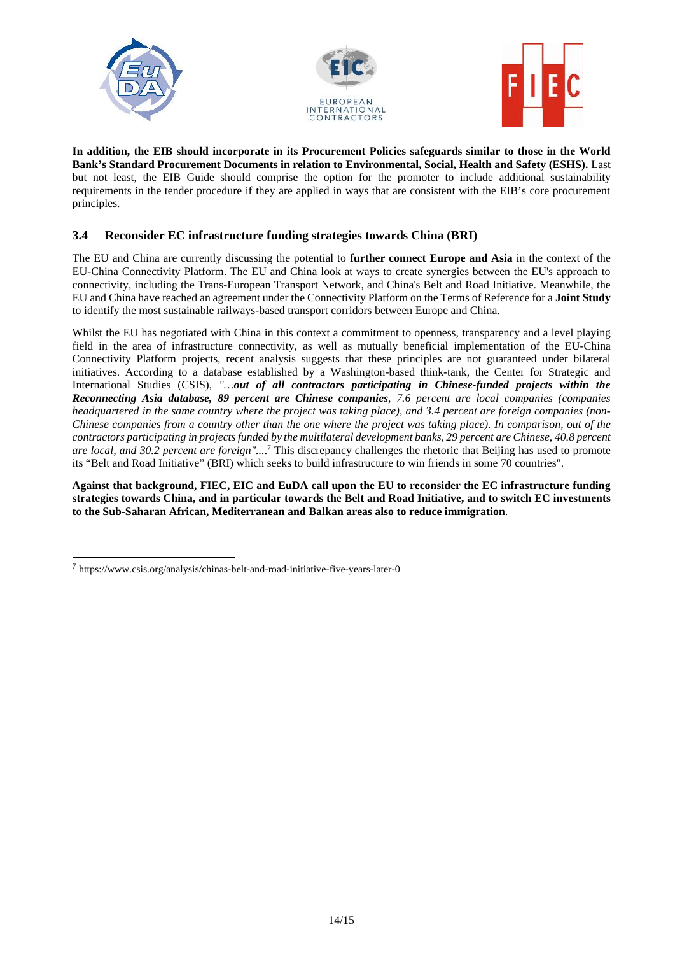





**In addition, the EIB should incorporate in its Procurement Policies safeguards similar to those in the World Bank's Standard Procurement Documents in relation to Environmental, Social, Health and Safety (ESHS).** Last but not least, the EIB Guide should comprise the option for the promoter to include additional sustainability requirements in the tender procedure if they are applied in ways that are consistent with the EIB's core procurement principles.

# **3.4 Reconsider EC infrastructure funding strategies towards China (BRI)**

The EU and China are currently discussing the potential to **further connect Europe and Asia** in the context of the EU-China Connectivity Platform. The EU and China look at ways to create synergies between the EU's approach to connectivity, including the Trans-European Transport Network, and China's Belt and Road Initiative. Meanwhile, the EU and China have reached an agreement under the Connectivity Platform on the Terms of Reference for a **Joint Study** to identify the most sustainable railways-based transport corridors between Europe and China.

Whilst the EU has negotiated with China in this context a commitment to openness, transparency and a level playing field in the area of infrastructure connectivity, as well as mutually beneficial implementation of the EU-China Connectivity Platform projects, recent analysis suggests that these principles are not guaranteed under bilateral initiatives. According to a database established by a Washington-based think-tank, the Center for Strategic and International Studies (CSIS), *"…out of all contractors participating in Chinese-funded projects within the Reconnecting Asia database, 89 percent are Chinese companies, 7.6 percent are local companies (companies headquartered in the same country where the project was taking place), and 3.4 percent are foreign companies (non- Chinese companies from a country other than the one where the project was taking place). In comparison, out of the contractors participating in projects funded by the multilateral development banks, 29 percent are Chinese, 40.8 percent are local, and 30.2 percent are foreign"...*.<sup>7</sup> This discrepancy challenges the rhetoric that Beijing has used to promote its "Belt and Road Initiative" (BRI) which seeks to build infrastructure to win friends in some 70 countries".

**Against that background, FIEC, EIC and EuDA call upon the EU to reconsider the EC infrastructure funding strategies towards China, and in particular towards the Belt and Road Initiative, and to switch EC investments to the Sub-Saharan African, Mediterranean and Balkan areas also to reduce immigration**.

<sup>7</sup> https://www.csis.org/analysis/chinas-belt-and-road-initiative-five-years-later-0